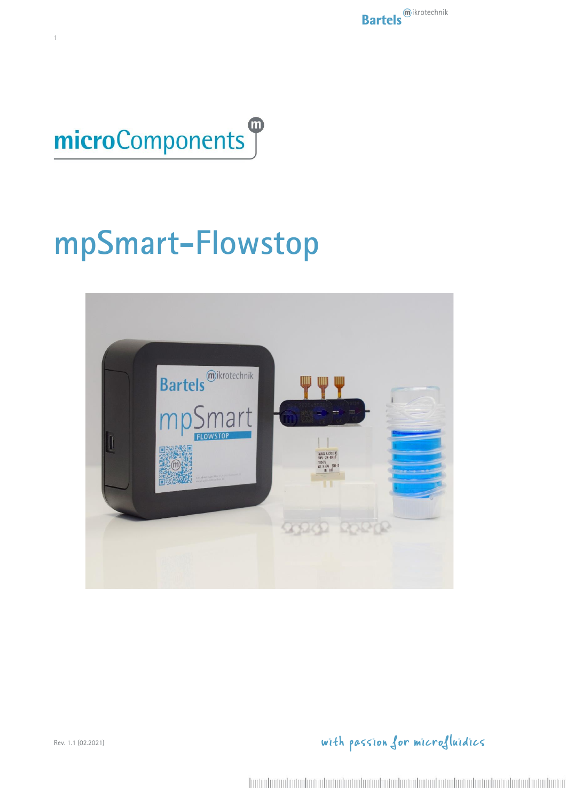



1

# **mpSmart-Flowstop**

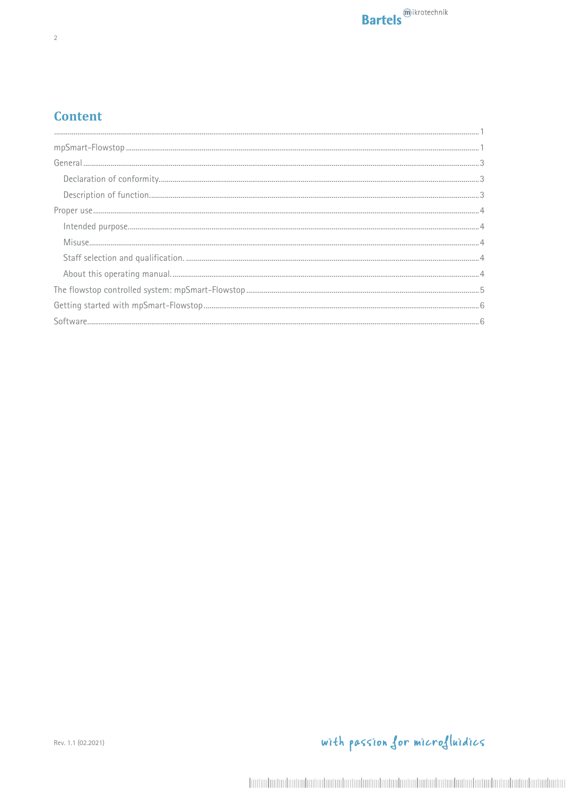#### **Content**

| $\verb mpSmart-Flowstop 1 $ |
|-----------------------------|
|                             |
|                             |
|                             |
|                             |
|                             |
|                             |
|                             |
|                             |
|                             |
|                             |
|                             |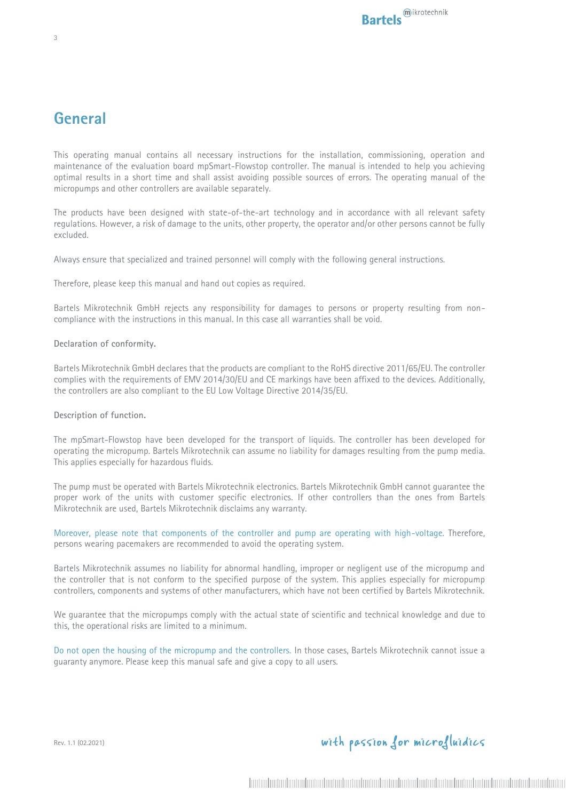### **General**

This operating manual contains all necessary instructions for the installation, commissioning, operation and maintenance of the evaluation board mpSmart-Flowstop controller. The manual is intended to help you achieving optimal results in a short time and shall assist avoiding possible sources of errors. The operating manual of the micropumps and other controllers are available separately.

The products have been designed with state-of-the-art technology and in accordance with all relevant safety regulations. However, a risk of damage to the units, other property, the operator and/or other persons cannot be fully excluded.

Always ensure that specialized and trained personnel will comply with the following general instructions.

Therefore, please keep this manual and hand out copies as required.

Bartels Mikrotechnik GmbH rejects any responsibility for damages to persons or property resulting from noncompliance with the instructions in this manual. In this case all warranties shall be void.

#### **Declaration of conformity.**

Bartels Mikrotechnik GmbH declares that the products are compliant to the RoHS directive 2011/65/EU. The controller complies with the requirements of EMV 2014/30/EU and CE markings have been affixed to the devices. Additionally, the controllers are also compliant to the EU Low Voltage Directive 2014/35/EU.

#### **Description of function.**

The mpSmart-Flowstop have been developed for the transport of liquids. The controller has been developed for operating the micropump. Bartels Mikrotechnik can assume no liability for damages resulting from the pump media. This applies especially for hazardous fluids.

The pump must be operated with Bartels Mikrotechnik electronics. Bartels Mikrotechnik GmbH cannot guarantee the proper work of the units with customer specific electronics. If other controllers than the ones from Bartels Mikrotechnik are used, Bartels Mikrotechnik disclaims any warranty.

Moreover, please note that components of the controller and pump are operating with high-voltage. Therefore, persons wearing pacemakers are recommended to avoid the operating system.

Bartels Mikrotechnik assumes no liability for abnormal handling, improper or negligent use of the micropump and the controller that is not conform to the specified purpose of the system. This applies especially for micropump controllers, components and systems of other manufacturers, which have not been certified by Bartels Mikrotechnik.

We guarantee that the micropumps comply with the actual state of scientific and technical knowledge and due to this, the operational risks are limited to a minimum.

Do not open the housing of the micropump and the controllers. In those cases, Bartels Mikrotechnik cannot issue a guaranty anymore. Please keep this manual safe and give a copy to all users.

Rev. 1.1 (02.2021)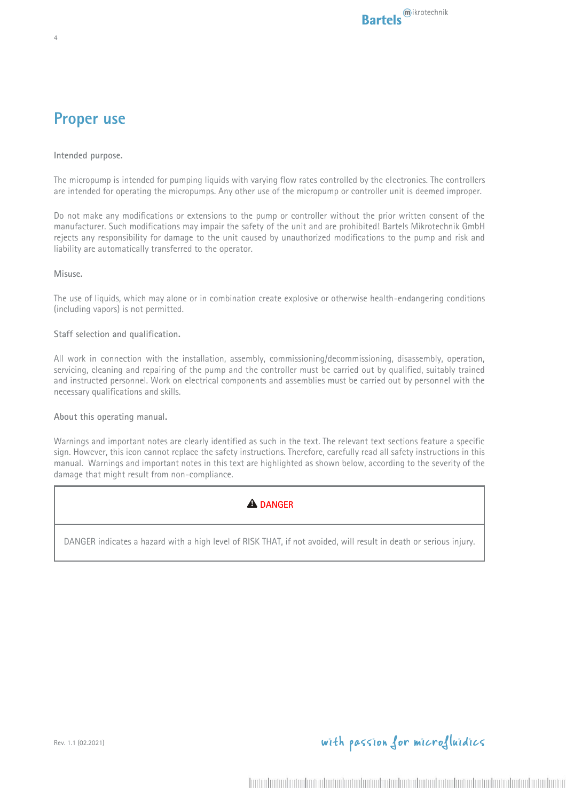### **Proper use**

4

**Intended purpose.**

The micropump is intended for pumping liquids with varying flow rates controlled by the electronics. The controllers are intended for operating the micropumps. Any other use of the micropump or controller unit is deemed improper.

Do not make any modifications or extensions to the pump or controller without the prior written consent of the manufacturer. Such modifications may impair the safety of the unit and are prohibited! Bartels Mikrotechnik GmbH rejects any responsibility for damage to the unit caused by unauthorized modifications to the pump and risk and liability are automatically transferred to the operator.

**Misuse.**

The use of liquids, which may alone or in combination create explosive or otherwise health-endangering conditions (including vapors) is not permitted.

#### **Staff selection and qualification.**

All work in connection with the installation, assembly, commissioning/decommissioning, disassembly, operation, servicing, cleaning and repairing of the pump and the controller must be carried out by qualified, suitably trained and instructed personnel. Work on electrical components and assemblies must be carried out by personnel with the necessary qualifications and skills.

**About this operating manual.**

Warnings and important notes are clearly identified as such in the text. The relevant text sections feature a specific sign. However, this icon cannot replace the safety instructions. Therefore, carefully read all safety instructions in this manual. Warnings and important notes in this text are highlighted as shown below, according to the severity of the damage that might result from non-compliance.

#### **A** DANGER

DANGER indicates a hazard with a high level of RISK THAT, if not avoided, will result in death or serious injury.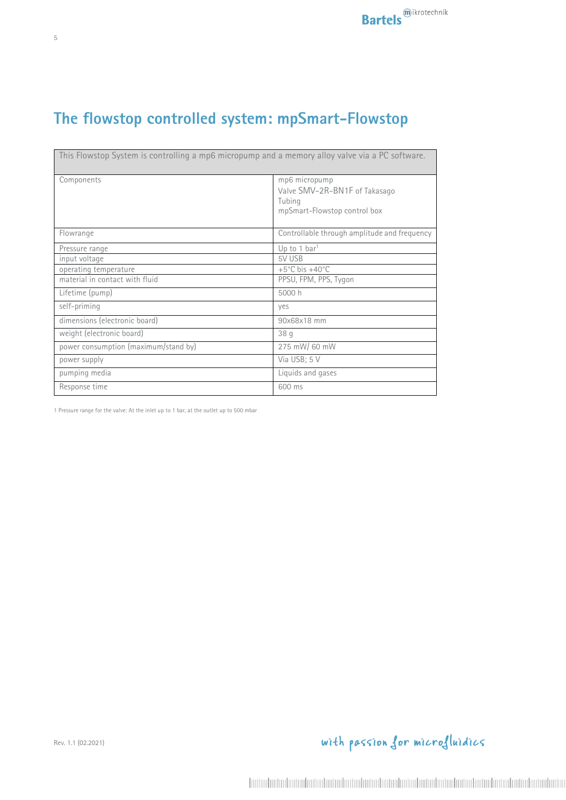# **The flowstop controlled system: mpSmart-Flowstop**

|                                      | This Flowstop System is controlling a mp6 micropump and a memory alloy valve via a PC software. |
|--------------------------------------|-------------------------------------------------------------------------------------------------|
| Components                           | mp6 micropump<br>Valve SMV-2R-BN1F of Takasago<br>Tubing<br>mpSmart-Flowstop control box        |
| Flowrange                            | Controllable through amplitude and frequency                                                    |
| Pressure range                       | Up to 1 bar <sup>1</sup>                                                                        |
| input voltage                        | 5V USB                                                                                          |
| operating temperature                | $+5^{\circ}$ C bis $+40^{\circ}$ C                                                              |
| material in contact with fluid       | PPSU, FPM, PPS, Tygon                                                                           |
| Lifetime (pump)                      | 5000 h                                                                                          |
| self-priming                         | yes                                                                                             |
| dimensions (electronic board)        | 90x68x18 mm                                                                                     |
| weight (electronic board)            | 38 g                                                                                            |
| power consumption (maximum/stand by) | 275 mW/ 60 mW                                                                                   |
| power supply                         | Via USB; 5 V                                                                                    |
| pumping media                        | Liquids and gases                                                                               |
| Response time                        | 600 ms                                                                                          |

1 Pressure range for the valve: At the inlet up to 1 bar, at the outlet up to 500 mbar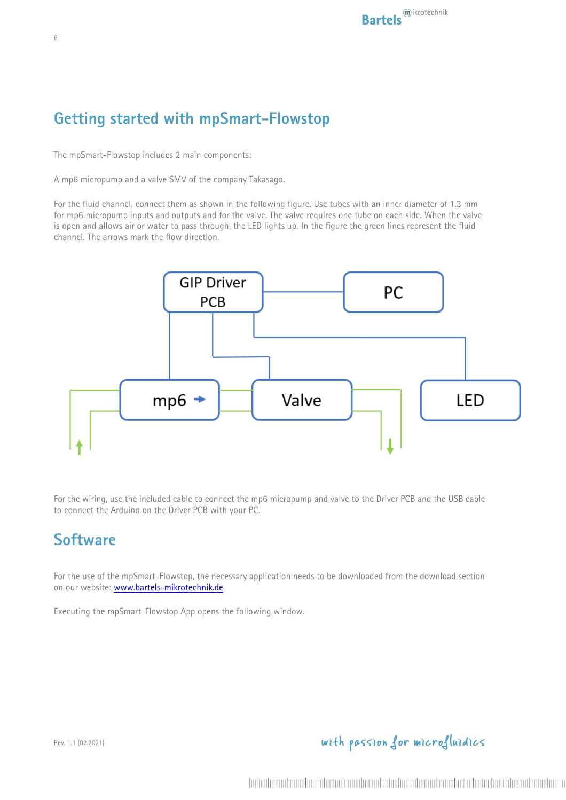## **Getting started with mpSmart-Flowstop**

The mpSmart-Flowstop includes 2 main components:

A mp6 micropump and a valve SMV of the company Takasago.

For the fluid channel, connect them as shown in the following figure. Use tubes with an inner diameter of 1.3 mm for mp6 micropump inputs and outputs and for the valve. The valve requires one tube on each side. When the valve is open and allows air or water to pass through, the LED lights up. In the figure the green lines represent the fluid channel. The arrows mark the flow direction.



For the wiring, use the included cable to connect the mp6 micropump and valve to the Driver PCB and the USB cable to connect the Arduino on the Driver PCB with your PC.

### **Software**

For the use of the mpSmart-Flowstop, the necessary application needs to be downloaded from the download section on our website: www.bartels-mikrotechnik.de

Executing the mpSmart-Flowstop App opens the following window.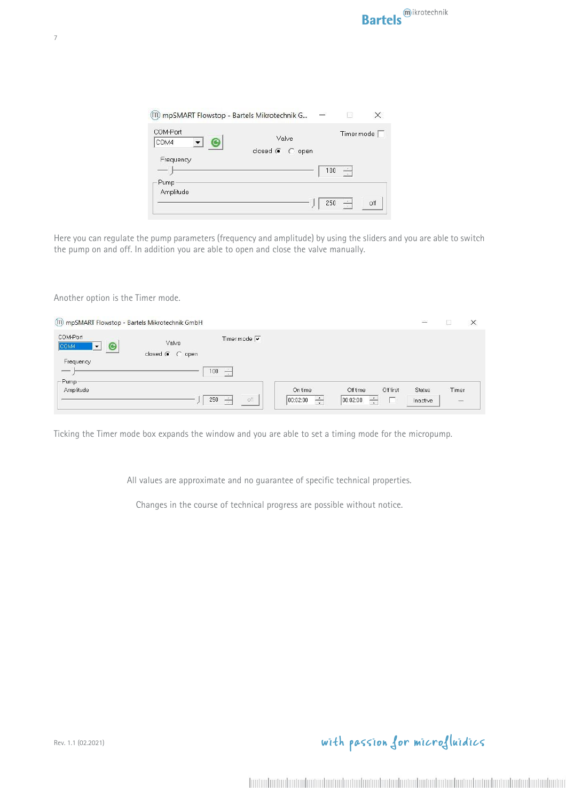| (III) mpSMART Flowstop - Bartels Mikrotechnik G |                          |     |                      |                   |
|-------------------------------------------------|--------------------------|-----|----------------------|-------------------|
| COM-Port<br>COM4                                | Valve<br>closed (C) open |     |                      | Timer mode $\Box$ |
| Frequency<br>Pump                               |                          | 100 |                      |                   |
| Amplitude                                       |                          | 250 | $\frac{1}{\sqrt{2}}$ | off               |

Here you can regulate the pump parameters (frequency and amplitude) by using the sliders and you are able to switch the pump on and off. In addition you are able to open and close the valve manually.

Another option is the Timer mode.

| (III) mpSMART Flowstop - Bartels Mikrotechnik GmbH                                                  |                                                                                              | $\overline{\phantom{a}}$  | $\times$                          |
|-----------------------------------------------------------------------------------------------------|----------------------------------------------------------------------------------------------|---------------------------|-----------------------------------|
| COM-Port<br>Valve<br>COM4<br>$\bullet$<br>$\overline{\phantom{a}}$<br>closed $\bullet$ $\circ$ open | Timer mode $\overline{\mathbf{v}}$                                                           |                           |                                   |
| Frequency<br>100<br>$\frac{1}{2}$                                                                   | $\div$                                                                                       |                           |                                   |
| Pump<br>Amplitude<br>250                                                                            | On time<br>Off time<br>Off first<br>÷<br>$\div$<br>÷<br>off<br> 00:02:00 <br> 00:02:00 <br>R | <b>Status</b><br>Inactive | Timer<br>$\overline{\phantom{m}}$ |

Ticking the Timer mode box expands the window and you are able to set a timing mode for the micropump.

All values are approximate and no guarantee of specific technical properties.

Changes in the course of technical progress are possible without notice.